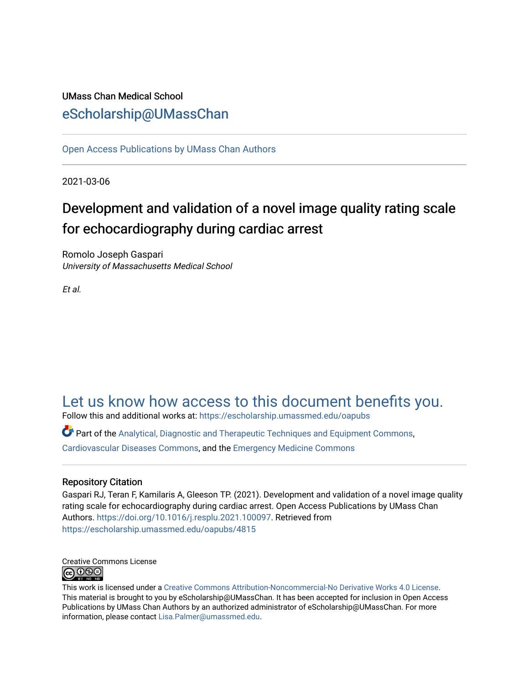## UMass Chan Medical School [eScholarship@UMassChan](https://escholarship.umassmed.edu/)

[Open Access Publications by UMass Chan Authors](https://escholarship.umassmed.edu/oapubs) 

2021-03-06

# Development and validation of a novel image quality rating scale for echocardiography during cardiac arrest

Romolo Joseph Gaspari University of Massachusetts Medical School

Et al.

## [Let us know how access to this document benefits you.](https://arcsapps.umassmed.edu/redcap/surveys/?s=XWRHNF9EJE)

Follow this and additional works at: [https://escholarship.umassmed.edu/oapubs](https://escholarship.umassmed.edu/oapubs?utm_source=escholarship.umassmed.edu%2Foapubs%2F4815&utm_medium=PDF&utm_campaign=PDFCoverPages) 

 $\bullet$  Part of the [Analytical, Diagnostic and Therapeutic Techniques and Equipment Commons](http://network.bepress.com/hgg/discipline/899?utm_source=escholarship.umassmed.edu%2Foapubs%2F4815&utm_medium=PDF&utm_campaign=PDFCoverPages), [Cardiovascular Diseases Commons,](http://network.bepress.com/hgg/discipline/929?utm_source=escholarship.umassmed.edu%2Foapubs%2F4815&utm_medium=PDF&utm_campaign=PDFCoverPages) and the [Emergency Medicine Commons](http://network.bepress.com/hgg/discipline/685?utm_source=escholarship.umassmed.edu%2Foapubs%2F4815&utm_medium=PDF&utm_campaign=PDFCoverPages) 

### Repository Citation

Gaspari RJ, Teran F, Kamilaris A, Gleeson TP. (2021). Development and validation of a novel image quality rating scale for echocardiography during cardiac arrest. Open Access Publications by UMass Chan Authors. [https://doi.org/10.1016/j.resplu.2021.100097.](https://doi.org/10.1016/j.resplu.2021.100097) Retrieved from [https://escholarship.umassmed.edu/oapubs/4815](https://escholarship.umassmed.edu/oapubs/4815?utm_source=escholarship.umassmed.edu%2Foapubs%2F4815&utm_medium=PDF&utm_campaign=PDFCoverPages)



This work is licensed under a [Creative Commons Attribution-Noncommercial-No Derivative Works 4.0 License.](http://creativecommons.org/licenses/by-nc-nd/4.0/) This material is brought to you by eScholarship@UMassChan. It has been accepted for inclusion in Open Access Publications by UMass Chan Authors by an authorized administrator of eScholarship@UMassChan. For more information, please contact [Lisa.Palmer@umassmed.edu.](mailto:Lisa.Palmer@umassmed.edu)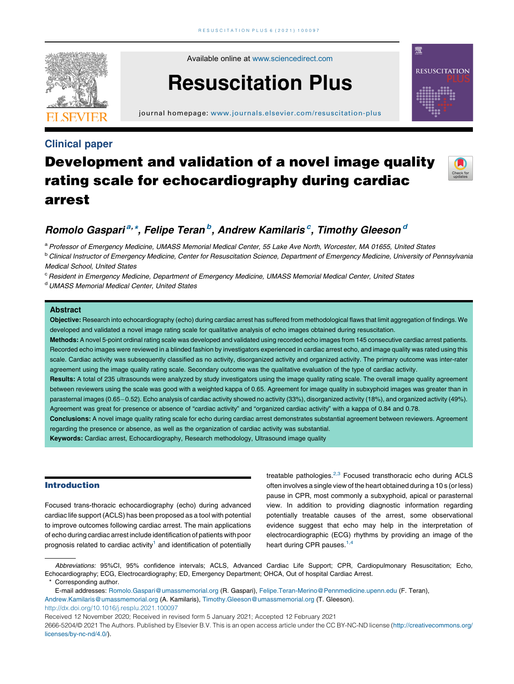

Available online at [www.sciencedirect.com](http://www.sciencedirect.com/science/journal/26665204)

# Resuscitation Plus

journal homepage: <www.journals.elsevier.com/resuscitation-plus>

### Clinical paper

## Development and validation of a novel image quality rating scale for echocardiography during cardiac arrest



魙

**RESUSCITATION** 

### Romolo Gaspari<sup>a, \*</sup>, Felipe Teran<sup>b</sup>, Andrew Kamilaris<sup>c</sup>, Timothy Gleeson<sup>d</sup>

a Professor of Emergency Medicine, UMASS Memorial Medical Center, 55 Lake Ave North, Worcester, MA 01655, United States

<sup>b</sup> Clinical Instructor of Emergency Medicine, Center for Resuscitation Science, Department of Emergency Medicine, University of Pennsylvania Medical School, United States

<sup>c</sup> Resident in Emergency Medicine, Department of Emergency Medicine, UMASS Memorial Medical Center, United States

<sup>d</sup> UMASS Memorial Medical Center, United States

#### Abstract

Objective: Research into echocardiography (echo) during cardiac arrest has suffered from methodological flaws that limit aggregation of findings. We developed and validated a novel image rating scale for qualitative analysis of echo images obtained during resuscitation.

Methods: A novel 5-point ordinal rating scale was developed and validated using recorded echo images from 145 consecutive cardiac arrest patients. Recorded echo images were reviewed in a blinded fashion by investigators experienced in cardiac arrest echo, and image quality was rated using this scale. Cardiac activity was subsequently classified as no activity, disorganized activity and organized activity. The primary outcome was inter-rater agreement using the image quality rating scale. Secondary outcome was the qualitative evaluation of the type of cardiac activity.

Results: A total of 235 ultrasounds were analyzed by study investigators using the image quality rating scale. The overall image quality agreement between reviewers using the scale was good with a weighted kappa of 0.65. Agreement for image quality in subxyphoid images was greater than in parasternal images (0.65-0.52). Echo analysis of cardiac activity showed no activity (33%), disorganized activity (18%), and organized activity (49%). Agreement was great for presence or absence of "cardiac activity" and "organized cardiac activity" with a kappa of 0.84 and 0.78.

Conclusions: A novel image quality rating scale for echo during cardiac arrest demonstrates substantial agreement between reviewers. Agreement regarding the presence or absence, as well as the organization of cardiac activity was substantial.

Keywords: Cardiac arrest, Echocardiography, Research methodology, Ultrasound image quality

#### Introduction

Focused trans-thoracic echocardiography (echo) during advanced cardiac life support (ACLS) has been proposed as a tool with potential to improve outcomes following cardiac arrest. The main applications of echo during cardiac arrest include identification of patients with poor prognosis related to cardiac activity<sup>[1](#page-5-0)</sup> and identification of potentially

treatable pathologies. $2,3$  Focused [transthoracic](#page-5-0) echo during ACLS often involves a single view of the heart obtained during a 10 s (or less) pause in CPR, most commonly a subxyphoid, apical or parasternal view. In addition to providing diagnostic information regarding potentially treatable causes of the arrest, some observational evidence suggest that echo may help in the interpretation of electrocardiographic (ECG) rhythms by providing an image of the heart during CPR pauses.<sup>[1,4](#page-5-0)</sup>

Abbreviations: 95%CI, 95% confidence intervals; ACLS, Advanced Cardiac Life Support; CPR, Cardiopulmonary Resuscitation; Echo, Echocardiography; ECG, Electrocardiography; ED, Emergency Department; OHCA, Out of hospital Cardiac Arrest.

E-mail addresses: [Romolo.Gaspari@umassmemorial.org](mailto:Romolo.Gaspari@umassmemorial.org) (R. Gaspari), [Felipe.Teran-Merino@Pennmedicine.upenn.edu](mailto:Felipe.Teran-Merino@Pennmedicine.upenn.edu) (F. Teran), [Andrew.Kamilaris@umassmemorial.org](mailto:Andrew.Kamilaris@umassmemorial.org) (A. Kamilaris), [Timothy.Gleeson@umassmemorial.org](mailto:Timothy.Gleeson@umassmemorial.org) (T. Gleeson).

<http://dx.doi.org/10.1016/j.resplu.2021.100097>

Received 12 November 2020; Received in revised form 5 January 2021; Accepted 12 February 2021

2666-5204/© 2021 The Authors. Published by Elsevier B.V. This is an open access article under the CC BY-NC-ND license ([http://creativecommons.org/](http://creativecommons.org/licenses/by-nc-nd/4.0/) [licenses/by-nc-nd/4.0/\)](http://creativecommons.org/licenses/by-nc-nd/4.0/).

Corresponding author.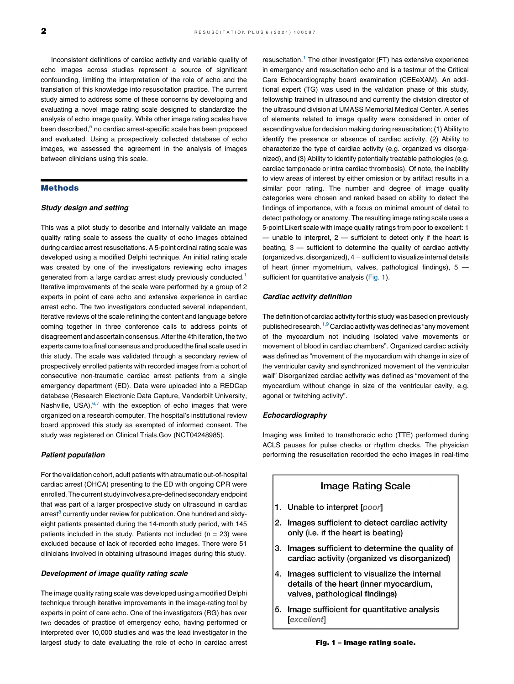Inconsistent definitions of cardiac activity and variable quality of echo images across studies represent a source of significant confounding, limiting the interpretation of the role of echo and the translation of this knowledge into resuscitation practice. The current study aimed to address some of these concerns by developing and evaluating a novel image rating scale designed to standardize the analysis of echo image quality. While other image rating scales have been described,<sup>[5](#page-5-0)</sup> no cardiac arrest-specific scale has been proposed and evaluated. Using a prospectively collected database of echo images, we assessed the agreement in the analysis of images between clinicians using this scale.

#### Methods

#### Study design and setting

This was a pilot study to describe and internally validate an image quality rating scale to assess the quality of echo images obtained during cardiac arrest resuscitations. A 5-point ordinal rating scale was developed using a modified Delphi technique. An initial rating scale was created by one of the investigators reviewing echo images generated from a large cardiac arrest study previously conducted.<sup>[1](#page-5-0)</sup> Iterative improvements of the scale were performed by a group of 2 experts in point of care echo and extensive experience in cardiac arrest echo. The two investigators conducted several independent, iterative reviews of the scale refining the content and language before coming together in three conference calls to address points of disagreement and ascertain consensus.Afterthe 4th iteration, the two experts came to a final consensus and produced the final scale used in this study. The scale was validated through a secondary review of prospectively enrolled patients with recorded images from a cohort of consecutive non-traumatic cardiac arrest patients from a single emergency department (ED). Data were uploaded into a REDCap database (Research Electronic Data Capture, Vanderbilt University, Nashville, USA), $6,7$  with the [exception](#page-5-0) of echo images that were organized on a research computer. The hospital's institutional review board approved this study as exempted of informed consent. The study was registered on Clinical Trials.Gov (NCT04248985).

#### Patient population

For the validation cohort, adult patients with atraumatic out-of-hospital cardiac arrest (OHCA) presenting to the ED with ongoing CPR were enrolled. The current study involves a pre-defined secondary endpoint that was part of a larger prospective study on ultrasound in cardiac  $arrest<sup>8</sup>$  $arrest<sup>8</sup>$  $arrest<sup>8</sup>$  currently under review for publication. One hundred and sixtyeight patients presented during the 14-month study period, with 145 patients included in the study. Patients not included ( $n = 23$ ) were excluded because of lack of recorded echo images. There were 51 clinicians involved in obtaining ultrasound images during this study.

#### Development of image quality rating scale

The image quality rating scale was developed using a modified Delphi technique through iterative improvements in the image-rating tool by experts in point of care echo. One of the investigators (RG) has over two decades of practice of emergency echo, having performed or interpreted over 10,000 studies and was the lead investigator in the largest study to date evaluating the role of echo in cardiac arrest resuscitation.<sup>[1](#page-5-0)</sup> The other investigator (FT) has extensive experience in emergency and resuscitation echo and is a testmur of the Critical Care Echocardiography board examination (CEEeXAM). An additional expert (TG) was used in the validation phase of this study, fellowship trained in ultrasound and currently the division director of the ultrasound division at UMASS Memorial Medical Center. A series of elements related to image quality were considered in order of ascending value for decision making during resuscitation; (1) Ability to identify the presence or absence of cardiac activity, (2) Ability to characterize the type of cardiac activity (e.g. organized vs disorganized), and (3) Ability to identify potentially treatable pathologies (e.g. cardiac tamponade or intra cardiac thrombosis). Of note, the inability to view areas of interest by either omission or by artifact results in a similar poor rating. The number and degree of image quality categories were chosen and ranked based on ability to detect the findings of importance, with a focus on minimal amount of detail to detect pathology or anatomy. The resulting image rating scale uses a 5-point Likert scale with image quality ratings from poor to excellent: 1 — unable to interpret, 2 — sufficient to detect only if the heart is beating, 3 — sufficient to determine the quality of cardiac activity (organized vs. disorganized),  $4 -$  sufficient to visualize internal details of heart (inner myometrium, valves, pathological findings), 5 sufficient for quantitative analysis (Fig. 1).

#### Cardiac activity definition

The definition of cardiac activity for this study was based on previously published research.<sup>1,9</sup> Cardiac activity was defined as "any [movement](#page-5-0) of the myocardium not including isolated valve movements or movement of blood in cardiac chambers". Organized cardiac activity was defined as "movement of the myocardium with change in size of the ventricular cavity and synchronized movement of the ventricular wall" Disorganized cardiac activity was defined as "movement of the myocardium without change in size of the ventricular cavity, e.g. agonal or twitching activity".

#### Echocardiography

Imaging was limited to transthoracic echo (TTE) performed during ACLS pauses for pulse checks or rhythm checks. The physician performing the resuscitation recorded the echo images in real-time

#### **Image Rating Scale**

- 1. Unable to interpret [poor]
- 2. Images sufficient to detect cardiac activity only (i.e. if the heart is beating)
- 3. Images sufficient to determine the quality of cardiac activity (organized vs disorganized)
- 4. Images sufficient to visualize the internal details of the heart (inner myocardium, valves, pathological findings)
- 5. Image sufficient for quantitative analysis excellent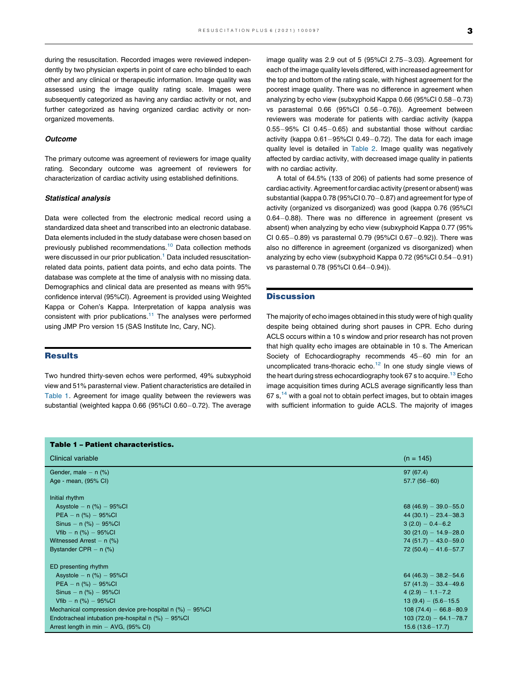during the resuscitation. Recorded images were reviewed independently by two physician experts in point of care echo blinded to each other and any clinical or therapeutic information. Image quality was assessed using the image quality rating scale. Images were subsequently categorized as having any cardiac activity or not, and further categorized as having organized cardiac activity or nonorganized movements.

#### **Outcome**

The primary outcome was agreement of reviewers for image quality rating. Secondary outcome was agreement of reviewers for characterization of cardiac activity using established definitions.

#### Statistical analysis

Data were collected from the electronic medical record using a standardized data sheet and transcribed into an electronic database. Data elements included in the study database were chosen based on previously published recommendations.<sup>[10](#page-5-0)</sup> Data collection methods were discussed in our prior publication.<sup>[1](#page-5-0)</sup> Data included resuscitationrelated data points, patient data points, and echo data points. The database was complete at the time of analysis with no missing data. Demographics and clinical data are presented as means with 95% confidence interval (95%CI). Agreement is provided using Weighted Kappa or Cohen's Kappa. Interpretation of kappa analysis was consistent with prior publications.<sup>11</sup> The analyses were performed using JMP Pro version 15 (SAS Institute Inc, Cary, NC).

#### **Results**

Two hundred thirty-seven echos were performed, 49% subxyphoid view and 51% parasternal view. Patient characteristics are detailed in Table 1. Agreement for image quality between the reviewers was substantial (weighted kappa  $0.66$  (95%Cl  $0.60-0.72$ ). The average image quality was 2.9 out of 5 (95%Cl 2.75 $-3.03$ ). Agreement for each of the image quality levels differed, with increased agreement for the top and bottom of the rating scale, with highest agreement for the poorest image quality. There was no difference in agreement when analyzing by echo view (subxyphoid Kappa 0.66 (95%Cl  $0.58-0.73$ ) vs parasternal  $0.66$  (95%CI  $0.56-0.76$ )). Agreement between reviewers was moderate for patients with cardiac activity (kappa  $0.55-95\%$  CI 0.45-0.65) and substantial those without cardiac activity (kappa  $0.61-95\%$ CI 0.49 $-0.72$ ). The data for each image quality level is detailed in [Table](#page-4-0) 2. Image quality was negatively affected by cardiac activity, with decreased image quality in patients with no cardiac activity.

A total of 64.5% (133 of 206) of patients had some presence of cardiac activity. Agreement for cardiac activity (present or absent) was substantial (kappa  $0.78$  (95%CI 0.70 $-0.87$ ) and agreement for type of activity (organized vs disorganized) was good (kappa 0.76 (95%CI  $0.64-0.88$ ). There was no difference in agreement (present vs absent) when analyzing by echo view (subxyphoid Kappa 0.77 (95% CI 0.65 $-0.89$ ) vs parasternal 0.79 (95%CI 0.67 $-0.92$ )). There was also no difference in agreement (organized vs disorganized) when analyzing by echo view (subxyphoid Kappa 0.72 (95%Cl 0.54-0.91) vs parasternal 0.78 (95%Cl 0.64-0.94)).

#### **Discussion**

The majority of echo images obtained in this study were of high quality despite being obtained during short pauses in CPR. Echo during ACLS occurs within a 10 s window and prior research has not proven that high quality echo images are obtainable in 10 s. The American Society of Echocardiography recommends 45-60 min for an uncomplicated trans-thoracic echo. $12$  In one study single views of the heart during stress echocardiography took 67 s to acquire.<sup>13</sup> Echo image acquisition times during ACLS average significantly less than  $67 s<sub>14</sub>$  $67 s<sub>14</sub>$  $67 s<sub>14</sub>$  with a goal not to obtain perfect images, but to obtain images with sufficient information to guide ACLS. The majority of images

| <b>Table 1 - Patient characteristics.</b>                  |                           |  |  |  |  |
|------------------------------------------------------------|---------------------------|--|--|--|--|
| Clinical variable                                          | $(n = 145)$               |  |  |  |  |
| Gender, male $-$ n $(\%)$                                  | 97(67.4)                  |  |  |  |  |
| Age - mean, (95% CI)                                       | $57.7(56 - 60)$           |  |  |  |  |
| Initial rhythm                                             |                           |  |  |  |  |
| Asystole $- n$ (%) $- 95\%$ CI                             | 68 (46.9) $-39.0-55.0$    |  |  |  |  |
| $PEA - n$ (%) $-$ 95%Cl                                    | $44(30.1) - 23.4 - 38.3$  |  |  |  |  |
| Sinus - n $(\%)$ - 95%Cl                                   | $3(2.0) - 0.4 - 6.2$      |  |  |  |  |
| $Vfib - n$ (%) $-$ 95%Cl                                   | $30(21.0) - 14.9 - 28.0$  |  |  |  |  |
| Witnessed Arrest $- n$ (%)                                 | $74(51.7) - 43.0 - 59.0$  |  |  |  |  |
| Bystander CPR $-$ n $(\%)$                                 | $72(50.4) - 41.6 - 57.7$  |  |  |  |  |
| ED presenting rhythm                                       |                           |  |  |  |  |
| Asystole $- n$ (%) $- 95\%$ Cl                             | $64(46.3) - 38.2 - 54.6$  |  |  |  |  |
| $PEA - n$ (%) $-$ 95%Cl                                    | $57(41.3) - 33.4 - 49.6$  |  |  |  |  |
| Sinus - n $(\%)$ - 95%Cl                                   | $4(2.9) - 1.1 - 7.2$      |  |  |  |  |
| Vfib $- n$ (%) $- 95\%$ Cl                                 | $13(9.4) - (5.6 - 15.5)$  |  |  |  |  |
| Mechanical compression device pre-hospital $n$ (%) – 95%Cl | $108(74.4) - 66.8 - 80.9$ |  |  |  |  |
| Endotracheal intubation pre-hospital $n$ (%) – 95%Cl       | $103(72.0) - 64.1 - 78.7$ |  |  |  |  |
| Arrest length in min - AVG, (95% CI)                       | $15.6(13.6 - 17.7)$       |  |  |  |  |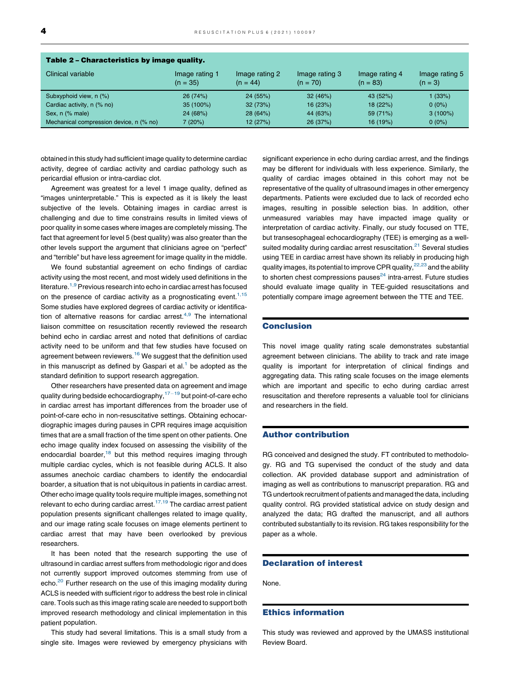<span id="page-4-0"></span>

| Table 2 - Characteristics by image quality. |                              |                              |                              |                              |                             |  |
|---------------------------------------------|------------------------------|------------------------------|------------------------------|------------------------------|-----------------------------|--|
| Clinical variable                           | Image rating 1<br>$(n = 35)$ | Image rating 2<br>$(n = 44)$ | Image rating 3<br>$(n = 70)$ | Image rating 4<br>$(n = 83)$ | Image rating 5<br>$(n = 3)$ |  |
| Subxyphoid view, n (%)                      | 26 (74%)                     | 24 (55%)                     | 32(46%)                      | 43 (52%)                     | 1 (33%)                     |  |
| Cardiac activity, n (% no)                  | 35 (100%)                    | 32 (73%)                     | 16 (23%)                     | 18 (22%)                     | $0(0\%)$                    |  |
| Sex, n (% male)                             | 24 (68%)                     | 28(64%)                      | 44 (63%)                     | 59 (71%)                     | $3(100\%)$                  |  |
| Mechanical compression device, n (% no)     | 7 (20%)                      | 12 (27%)                     | 26 (37%)                     | 16 (19%)                     | $0(0\%)$                    |  |

obtained in this study had sufficient image quality to determine cardiac activity, degree of cardiac activity and cardiac pathology such as pericardial effusion or intra-cardiac clot.

Agreement was greatest for a level 1 image quality, defined as "images uninterpretable." This is expected as it is likely the least subjective of the levels. Obtaining images in cardiac arrest is challenging and due to time constrains results in limited views of poor quality in some cases where images are completely missing. The fact that agreement for level 5 (best quality) was also greater than the other levels support the argument that clinicians agree on "perfect" and "terrible" but have less agreement for image quality in the middle.

We found substantial agreement on echo findings of cardiac activity using the most recent, and most widely used definitions in the literature.  $1,9$  Previous research into echo in cardiac arrest has focused on the presence of cardiac activity as a prognosticating event. $1,15$ Some studies have explored degrees of cardiac activity or identification of alternative reasons for cardiac arrest. $4,9$  The [international](#page-5-0) liaison committee on resuscitation recently reviewed the research behind echo in cardiac arrest and noted that definitions of cardiac activity need to be uniform and that few studies have focused on agreement between reviewers. $16$  We suggest that the definition used in this manuscript as defined by Gaspari et  $al<sup>1</sup>$  $al<sup>1</sup>$  $al<sup>1</sup>$  be adopted as the standard definition to support research aggregation.

Other researchers have presented data on agreement and image quality during bedside echocardiography, $17-19$  but [point-of-care](#page-5-0) echo in cardiac arrest has important differences from the broader use of point-of-care echo in non-resuscitative settings. Obtaining echocardiographic images during pauses in CPR requires image acquisition times that are a small fraction of the time spent on other patients. One echo image quality index focused on assessing the visibility of the endocardial boarder, $18$  but this method requires imaging through multiple cardiac cycles, which is not feasible during ACLS. It also assumes anechoic cardiac chambers to identify the endocardial boarder, a situation that is not ubiquitous in patients in cardiac arrest. Other echo image quality tools require multiple images, something not relevant to echo during [cardiac](#page-5-0) arrest.<sup>17,19</sup> The cardiac arrest patient population presents significant challenges related to image quality, and our image rating scale focuses on image elements pertinent to cardiac arrest that may have been overlooked by previous researchers.

It has been noted that the research supporting the use of ultrasound in cardiac arrest suffers from methodologic rigor and does not currently support improved outcomes stemming from use of echo.<sup>[20](#page-5-0)</sup> Further research on the use of this imaging modality during ACLS is needed with sufficient rigor to address the best role in clinical care. Tools such as this image rating scale are needed to support both improved research methodology and clinical implementation in this patient population.

This study had several limitations. This is a small study from a single site. Images were reviewed by emergency physicians with significant experience in echo during cardiac arrest, and the findings may be different for individuals with less experience. Similarly, the quality of cardiac images obtained in this cohort may not be representative of the quality of ultrasound images in other emergency departments. Patients were excluded due to lack of recorded echo images, resulting in possible selection bias. In addition, other unmeasured variables may have impacted image quality or interpretation of cardiac activity. Finally, our study focused on TTE, but transesophageal echocardiography (TEE) is emerging as a well-suited modality during cardiac arrest resuscitation.<sup>[21](#page-5-0)</sup> Several studies using TEE in cardiac arrest have shown its reliably in producing high quality images, its potential to improve CPR quality,  $22,23$  and the [ability](#page-5-0) to shorten chest compressions pauses $^{24}$  $^{24}$  $^{24}$  intra-arrest. Future studies should evaluate image quality in TEE-guided resuscitations and potentially compare image agreement between the TTE and TEE.

#### Conclusion

This novel image quality rating scale demonstrates substantial agreement between clinicians. The ability to track and rate image quality is important for interpretation of clinical findings and aggregating data. This rating scale focuses on the image elements which are important and specific to echo during cardiac arrest resuscitation and therefore represents a valuable tool for clinicians and researchers in the field.

#### Author contribution

RG conceived and designed the study. FT contributed to methodology. RG and TG supervised the conduct of the study and data collection. AK provided database support and administration of imaging as well as contributions to manuscript preparation. RG and TG undertook recruitment of patients and managed the data, including quality control. RG provided statistical advice on study design and analyzed the data; RG drafted the manuscript, and all authors contributed substantially to its revision. RG takes responsibility for the paper as a whole.

#### Declaration of interest

None.

#### Ethics information

This study was reviewed and approved by the UMASS institutional Review Board.